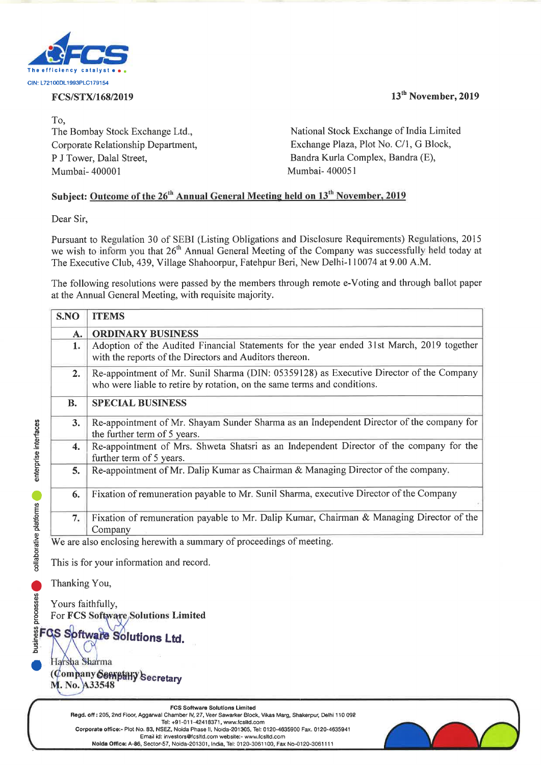

To, Mumbai- 400001 Mumbai- 400051 **Example 18 and 18 and 18 and 18 and 18 and 18 and 18 and 18 and 18 and 18 and 18 and 18 and 18 and 18 and 18 and 18 and 18 and 18 and 18 and 18 and 18 and 18 and 18 and 18 and 18 and 18 and 18 and 18 and 18 and 18 and 18 Example 18 CONSTRAIGES**<br> **ECS/STX/168/2019**<br>
To,<br>
The Bombay Stock Exchange Ltd.,<br>
Corporate Relationship Department,<br>
P J Tower, Dalal Street,<br>
Mumbai- 400001<br> **Subject: <u>Outcome of the 26<sup>th</sup> Annual General Mee</u><br>
Dear S** THE CONSTRAINS CONSTRAINS CONSTRAINS CONSTRAINS CONSTRAINING CONSTRAINS PRESSURE TO A CONSTRAIN CONSTRAINS CONSTRAINS CONSTRAINS CONSTRAINS CONSTRAINS CONSTRAINS CONSTRAINS ON SUBJECT: Outcome of the 26<sup>th</sup> Annual General

## Subject: Outcome of the 26<sup>th</sup> Annual General Meeting held on 13<sup>th</sup> November, 2019

**Dusiness processes** collaborative platforms enterprise interfaces

| e efficiency catal<br>V: L72100DL1993PLC179154 |                                                                                                                                                                     |                                                                                                                                                                                                                                                                                                                        |
|------------------------------------------------|---------------------------------------------------------------------------------------------------------------------------------------------------------------------|------------------------------------------------------------------------------------------------------------------------------------------------------------------------------------------------------------------------------------------------------------------------------------------------------------------------|
|                                                | FCS/STX/168/2019                                                                                                                                                    | 13 <sup>th</sup> November, 2019                                                                                                                                                                                                                                                                                        |
| To,                                            |                                                                                                                                                                     |                                                                                                                                                                                                                                                                                                                        |
| The Bombay Stock Exchange Ltd.,                |                                                                                                                                                                     | National Stock Exchange of India Limited                                                                                                                                                                                                                                                                               |
| Corporate Relationship Department,             |                                                                                                                                                                     | Exchange Plaza, Plot No. C/1, G Block,                                                                                                                                                                                                                                                                                 |
| P J Tower, Dalal Street,<br>Mumbai-400001      |                                                                                                                                                                     | Bandra Kurla Complex, Bandra (E),<br>Mumbai- 400051                                                                                                                                                                                                                                                                    |
|                                                |                                                                                                                                                                     |                                                                                                                                                                                                                                                                                                                        |
|                                                |                                                                                                                                                                     | Subject: Outcome of the 26 <sup>th</sup> Annual General Meeting held on 13 <sup>th</sup> November, 2019                                                                                                                                                                                                                |
| Dear Sir,                                      |                                                                                                                                                                     |                                                                                                                                                                                                                                                                                                                        |
|                                                |                                                                                                                                                                     | Pursuant to Regulation 30 of SEBI (Listing Obligations and Disclosure Requirements) Regulations, 2015<br>we wish to inform you that 26 <sup>th</sup> Annual General Meeting of the Company was successfully held today at<br>The Executive Club, 439, Village Shahoorpur, Fatehpur Beri, New Delhi-110074 at 9.00 A.M. |
|                                                | at the Annual General Meeting, with requisite majority.                                                                                                             | The following resolutions were passed by the members through remote e-Voting and through ballot paper                                                                                                                                                                                                                  |
| S.NO                                           | <b>ITEMS</b>                                                                                                                                                        |                                                                                                                                                                                                                                                                                                                        |
| A.                                             | <b>ORDINARY BUSINESS</b>                                                                                                                                            |                                                                                                                                                                                                                                                                                                                        |
| 1.                                             | Adoption of the Audited Financial Statements for the year ended 31st March, 2019 together<br>with the reports of the Directors and Auditors thereon.                |                                                                                                                                                                                                                                                                                                                        |
| 2.                                             | Re-appointment of Mr. Sunil Sharma (DIN: 05359128) as Executive Director of the Company<br>who were liable to retire by rotation, on the same terms and conditions. |                                                                                                                                                                                                                                                                                                                        |
| <b>B.</b>                                      | <b>SPECIAL BUSINESS</b>                                                                                                                                             |                                                                                                                                                                                                                                                                                                                        |
| 3.                                             | Re-appointment of Mr. Shayam Sunder Sharma as an Independent Director of the company for<br>the further term of 5 years.                                            |                                                                                                                                                                                                                                                                                                                        |
| 4.                                             | Re-appointment of Mrs. Shweta Shatsri as an Independent Director of the company for the<br>further term of 5 years.                                                 |                                                                                                                                                                                                                                                                                                                        |
| 5.                                             |                                                                                                                                                                     | Re-appointment of Mr. Dalip Kumar as Chairman & Managing Director of the company.                                                                                                                                                                                                                                      |
| 6.                                             | Fixation of remuneration payable to Mr. Sunil Sharma, executive Director of the Company                                                                             |                                                                                                                                                                                                                                                                                                                        |
| 7.                                             | Fixation of remuneration payable to Mr. Dalip Kumar, Chairman & Managing Director of the<br>Company                                                                 |                                                                                                                                                                                                                                                                                                                        |
|                                                | We are also enclosing herewith a summary of proceedings of meeting.                                                                                                 |                                                                                                                                                                                                                                                                                                                        |
|                                                | This is for your information and record.                                                                                                                            |                                                                                                                                                                                                                                                                                                                        |
|                                                |                                                                                                                                                                     |                                                                                                                                                                                                                                                                                                                        |
| Thanking You,                                  |                                                                                                                                                                     |                                                                                                                                                                                                                                                                                                                        |
|                                                | Yours faithfully,<br>For FCS Software Solutions Limited                                                                                                             |                                                                                                                                                                                                                                                                                                                        |
|                                                |                                                                                                                                                                     |                                                                                                                                                                                                                                                                                                                        |
|                                                | FGS Software Solutions Ltd.                                                                                                                                         |                                                                                                                                                                                                                                                                                                                        |
|                                                |                                                                                                                                                                     |                                                                                                                                                                                                                                                                                                                        |
|                                                |                                                                                                                                                                     |                                                                                                                                                                                                                                                                                                                        |
| Harsha Sharma<br>M. No. A33548                 | Company Serift Hy Secretary                                                                                                                                         |                                                                                                                                                                                                                                                                                                                        |